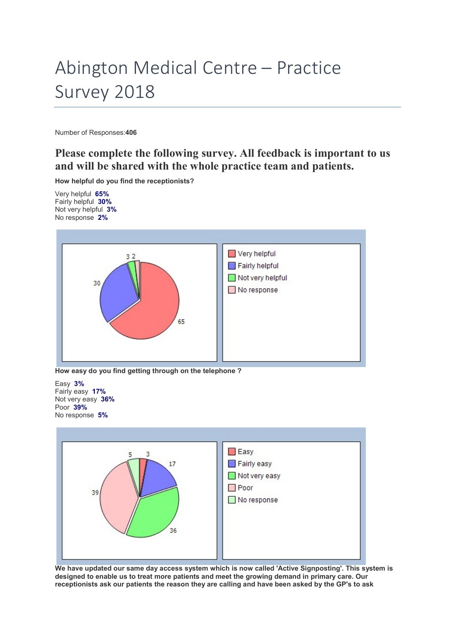## Abington Medical Centre – Practice Survey 2018

Number of Responses:406

## Please complete the following survey. All feedback is important to us and will be shared with the whole practice team and patients.

How helpful do you find the receptionists?

Very helpful 65% Fairly helpful 30% Not very helpful 3% No response 2%



How easy do you find getting through on the telephone ?

Easy 3% Fairly easy 17% Not very easy 36% Poor 39% No response 5%



We have updated our same day access system which is now called 'Active Signposting'. This system is designed to enable us to treat more patients and meet the growing demand in primary care. Our receptionists ask our patients the reason they are calling and have been asked by the GP's to ask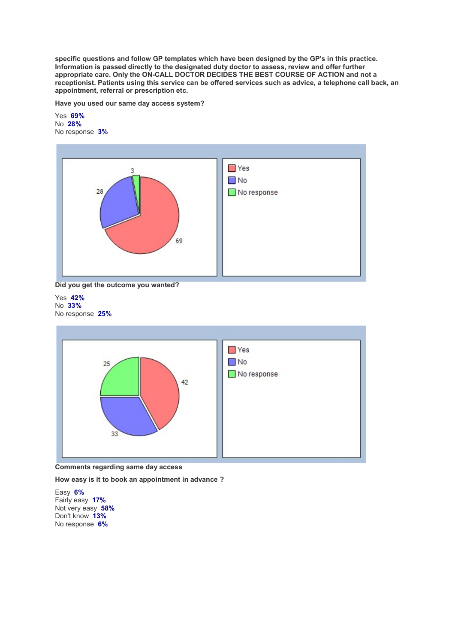specific questions and follow GP templates which have been designed by the GP's in this practice. Information is passed directly to the designated duty doctor to assess, review and offer further appropriate care. Only the ON-CALL DOCTOR DECIDES THE BEST COURSE OF ACTION and not a receptionist. Patients using this service can be offered services such as advice, a telephone call back, an appointment, referral or prescription etc.

Have you used our same day access system?

Yes 69% No 28% No response 3%



Did you get the outcome you wanted?

Yes 42% No 33% No response 25%



Comments regarding same day access

How easy is it to book an appointment in advance ?

Easy 6% Fairly easy 17% Not very easy 58% Don't know 13% No response 6%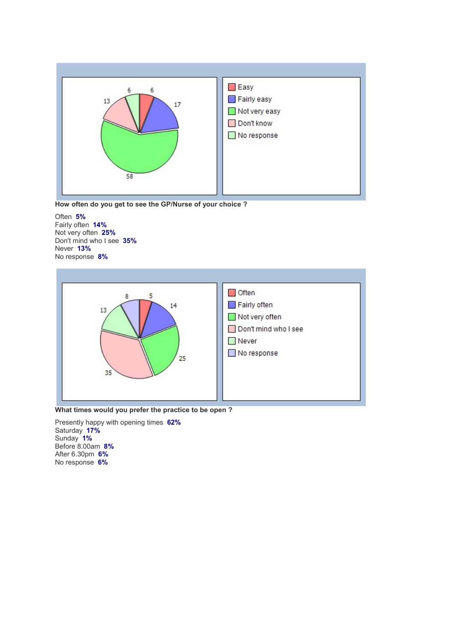



Often 5% Fairly often 14% Not very often 25% Don't mind who I see 35% Never 13% No response 8%



What times would you prefer the practice to be open ?

Presently happy with opening times 62% Saturday 17% Sunday 1% Before 8.00am 8% After 6.30pm 6% No response 6%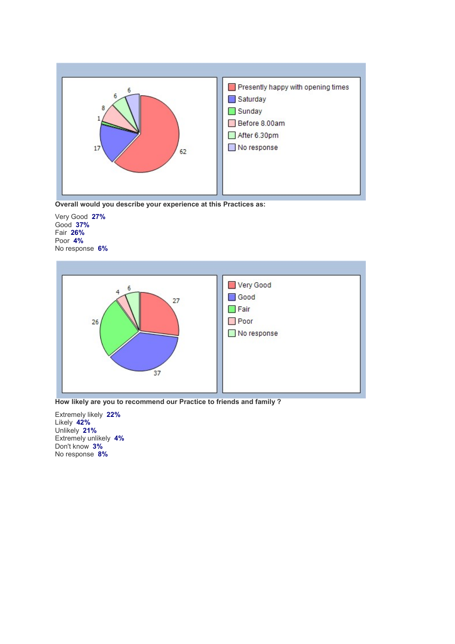

Overall would you describe your experience at this Practices as:

Very Good 27% Good 37% Fair 26% Poor 4% No response 6%



How likely are you to recommend our Practice to friends and family ?

Extremely likely 22% Likely 42% Unlikely 21% Extremely unlikely 4% Don't know 3% No response 8%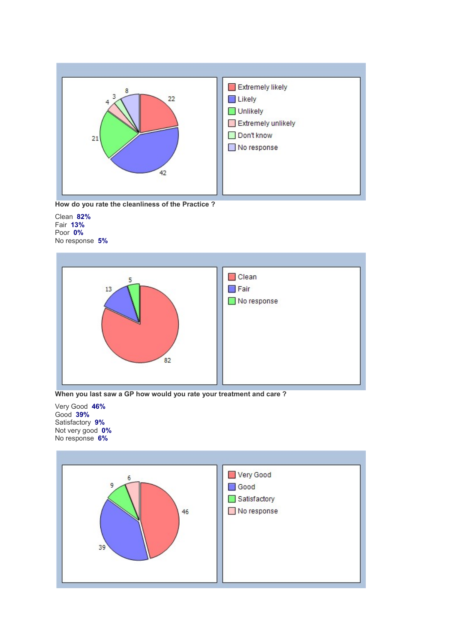



Clean 82% Fair 13% Poor 0% No response 5%



When you last saw a GP how would you rate your treatment and care ?

Very Good 46% Good 39% Satisfactory 9% Not very good 0% No response 6%